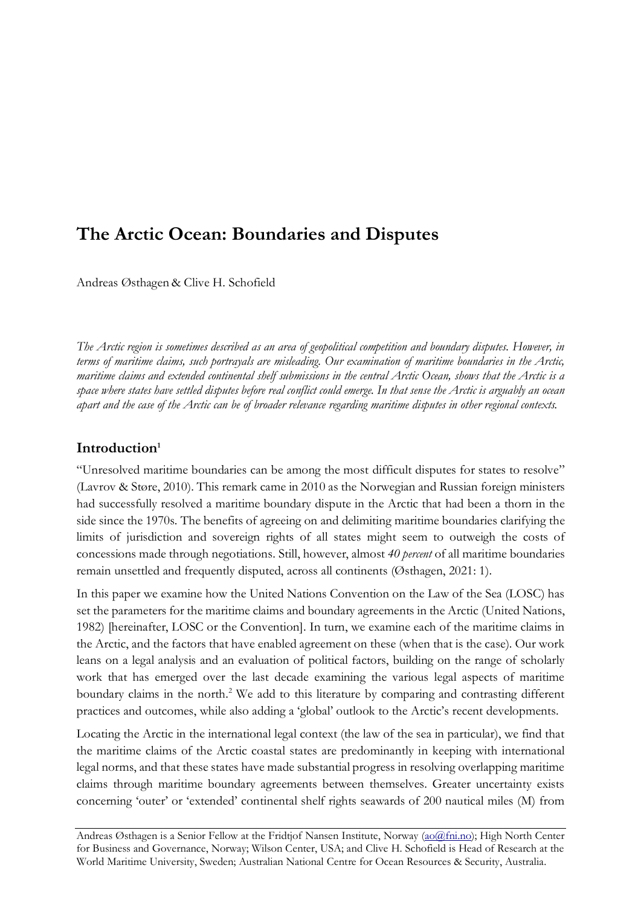# **The Arctic Ocean: Boundaries and Disputes**

Andreas Østhagen & Clive H. Schofield

*The Arctic region is sometimes described as an area of geopolitical competition and boundary disputes. However, in terms of maritime claims, such portrayals are misleading. Our examination of maritime boundaries in the Arctic, maritime claims and extended continental shelf submissions in the central Arctic Ocean, shows that the Arctic is a space where states have settled disputes before real conflict could emerge. In that sense the Arctic is arguably an ocean apart and the case of the Arctic can be of broader relevance regarding maritime disputes in other regional contexts.*

# **Introduction<sup>1</sup>**

"Unresolved maritime boundaries can be among the most difficult disputes for states to resolve" (Lavrov & Støre, 2010). This remark came in 2010 as the Norwegian and Russian foreign ministers had successfully resolved a maritime boundary dispute in the Arctic that had been a thorn in the side since the 1970s. The benefits of agreeing on and delimiting maritime boundaries clarifying the limits of jurisdiction and sovereign rights of all states might seem to outweigh the costs of concessions made through negotiations. Still, however, almost *40 percent* of all maritime boundaries remain unsettled and frequently disputed, across all continents (Østhagen, 2021: 1).

In this paper we examine how the United Nations Convention on the Law of the Sea (LOSC) has set the parameters for the maritime claims and boundary agreements in the Arctic (United Nations, 1982) [hereinafter, LOSC or the Convention]. In turn, we examine each of the maritime claims in the Arctic, and the factors that have enabled agreement on these (when that is the case). Our work leans on a legal analysis and an evaluation of political factors, building on the range of scholarly work that has emerged over the last decade examining the various legal aspects of maritime boundary claims in the north. <sup>2</sup> We add to this literature by comparing and contrasting different practices and outcomes, while also adding a 'global' outlook to the Arctic's recent developments.

Locating the Arctic in the international legal context (the law of the sea in particular), we find that the maritime claims of the Arctic coastal states are predominantly in keeping with international legal norms, and that these states have made substantial progress in resolving overlapping maritime claims through maritime boundary agreements between themselves. Greater uncertainty exists concerning 'outer' or 'extended' continental shelf rights seawards of 200 nautical miles (M) from

Andreas Østhagen is a Senior Fellow at the Fridtjof Nansen Institute, Norway [\(ao@fni.no\)](mailto:ao@fni.no); High North Center for Business and Governance, Norway; Wilson Center, USA; and Clive H. Schofield is Head of Research at the World Maritime University, Sweden; Australian National Centre for Ocean Resources & Security, Australia.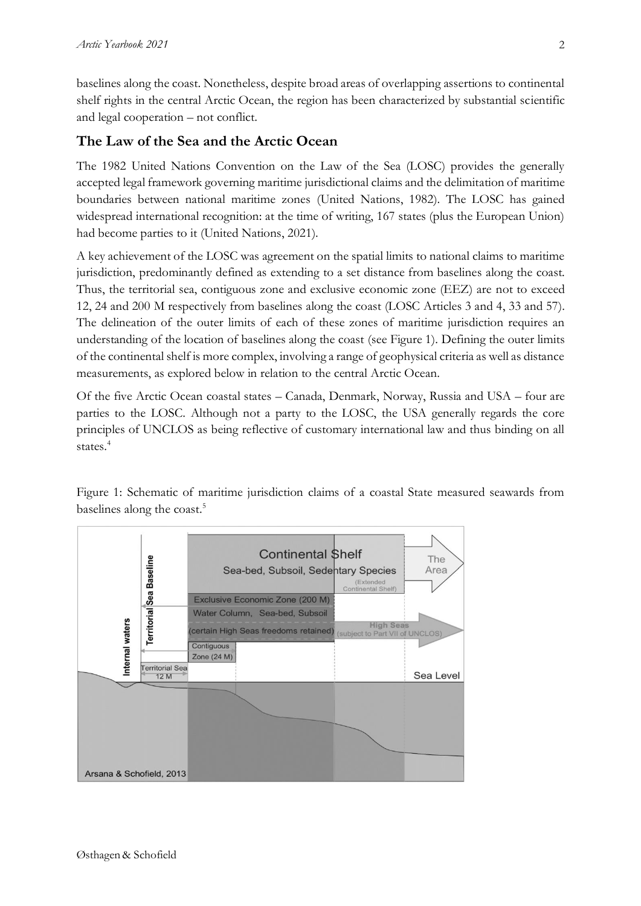baselines along the coast. Nonetheless, despite broad areas of overlapping assertions to continental shelf rights in the central Arctic Ocean, the region has been characterized by substantial scientific and legal cooperation – not conflict.

# **The Law of the Sea and the Arctic Ocean**

The 1982 United Nations Convention on the Law of the Sea (LOSC) provides the generally accepted legal framework governing maritime jurisdictional claims and the delimitation of maritime boundaries between national maritime zones (United Nations, 1982). The LOSC has gained widespread international recognition: at the time of writing, 167 states (plus the European Union) had become parties to it (United Nations, 2021).

A key achievement of the LOSC was agreement on the spatial limits to national claims to maritime jurisdiction, predominantly defined as extending to a set distance from baselines along the coast. Thus, the territorial sea, contiguous zone and exclusive economic zone (EEZ) are not to exceed 12, 24 and 200 M respectively from baselines along the coast (LOSC Articles 3 and 4, 33 and 57). The delineation of the outer limits of each of these zones of maritime jurisdiction requires an understanding of the location of baselines along the coast (see Figure 1). Defining the outer limits of the continental shelf is more complex, involving a range of geophysical criteria as well as distance measurements, as explored below in relation to the central Arctic Ocean.

Of the five Arctic Ocean coastal states – Canada, Denmark, Norway, Russia and USA – four are parties to the LOSC. Although not a party to the LOSC, the USA generally regards the core principles of UNCLOS as being reflective of customary international law and thus binding on all states. 4

Figure 1: Schematic of maritime jurisdiction claims of a coastal State measured seawards from baselines along the coast. 5

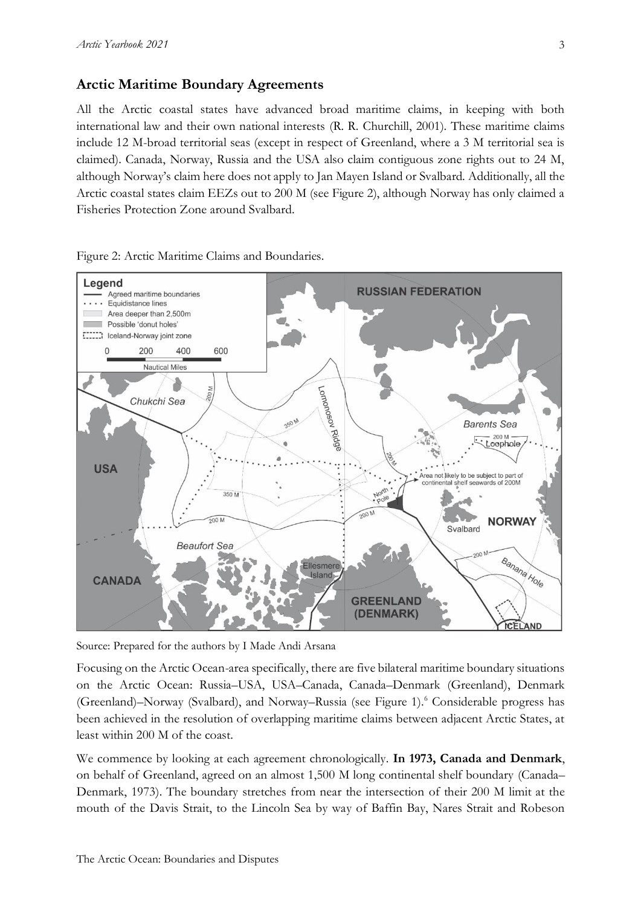#### **Arctic Maritime Boundary Agreements**

All the Arctic coastal states have advanced broad maritime claims, in keeping with both international law and their own national interests (R. R. Churchill, 2001). These maritime claims include 12 M-broad territorial seas (except in respect of Greenland, where a 3 M territorial sea is claimed). Canada, Norway, Russia and the USA also claim contiguous zone rights out to 24 M, although Norway's claim here does not apply to Jan Mayen Island or Svalbard. Additionally, all the Arctic coastal states claim EEZs out to 200 M (see Figure 2), although Norway has only claimed a Fisheries Protection Zone around Svalbard.



Figure 2: Arctic Maritime Claims and Boundaries.

Source: Prepared for the authors by I Made Andi Arsana

Focusing on the Arctic Ocean-area specifically, there are five bilateral maritime boundary situations on the Arctic Ocean: Russia–USA, USA–Canada, Canada–Denmark (Greenland), Denmark (Greenland)–Norway (Svalbard), and Norway–Russia (see Figure 1).<sup>6</sup> Considerable progress has been achieved in the resolution of overlapping maritime claims between adjacent Arctic States, at least within 200 M of the coast.

We commence by looking at each agreement chronologically. **In 1973, Canada and Denmark**, on behalf of Greenland, agreed on an almost 1,500 M long continental shelf boundary (Canada– Denmark, 1973). The boundary stretches from near the intersection of their 200 M limit at the mouth of the Davis Strait, to the Lincoln Sea by way of Baffin Bay, Nares Strait and Robeson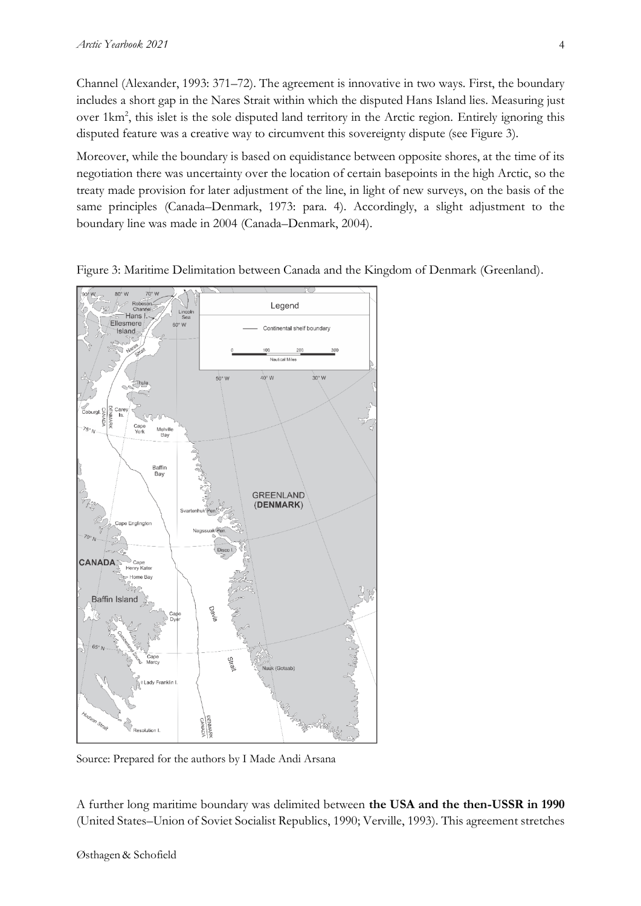Channel (Alexander, 1993: 371–72). The agreement is innovative in two ways. First, the boundary includes a short gap in the Nares Strait within which the disputed Hans Island lies. Measuring just over 1km<sup>2</sup>, this islet is the sole disputed land territory in the Arctic region. Entirely ignoring this disputed feature was a creative way to circumvent this sovereignty dispute (see Figure 3).

Moreover, while the boundary is based on equidistance between opposite shores, at the time of its negotiation there was uncertainty over the location of certain basepoints in the high Arctic, so the treaty made provision for later adjustment of the line, in light of new surveys, on the basis of the same principles (Canada–Denmark, 1973: para. 4). Accordingly, a slight adjustment to the boundary line was made in 2004 (Canada–Denmark, 2004).



Figure 3: Maritime Delimitation between Canada and the Kingdom of Denmark (Greenland).

Source: Prepared for the authors by I Made Andi Arsana

A further long maritime boundary was delimited between **the USA and the then-USSR in 1990** (United States–Union of Soviet Socialist Republics, 1990; Verville, 1993). This agreement stretches

4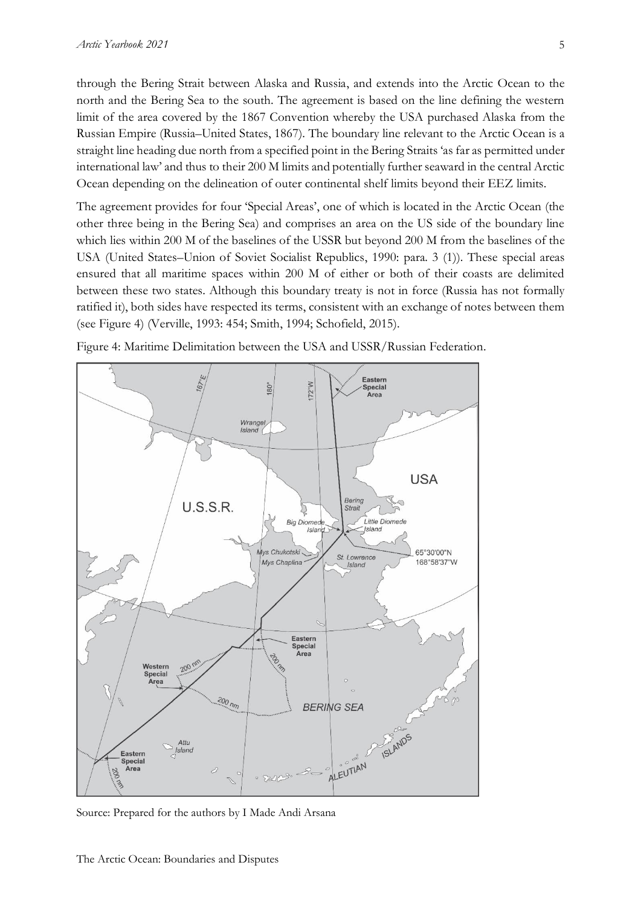through the Bering Strait between Alaska and Russia, and extends into the Arctic Ocean to the north and the Bering Sea to the south. The agreement is based on the line defining the western limit of the area covered by the 1867 Convention whereby the USA purchased Alaska from the Russian Empire (Russia–United States, 1867). The boundary line relevant to the Arctic Ocean is a straight line heading due north from a specified point in the Bering Straits 'as far as permitted under international law' and thus to their 200 M limits and potentially further seaward in the central Arctic Ocean depending on the delineation of outer continental shelf limits beyond their EEZ limits.

The agreement provides for four 'Special Areas', one of which is located in the Arctic Ocean (the other three being in the Bering Sea) and comprises an area on the US side of the boundary line which lies within 200 M of the baselines of the USSR but beyond 200 M from the baselines of the USA (United States–Union of Soviet Socialist Republics, 1990: para. 3 (1)). These special areas ensured that all maritime spaces within 200 M of either or both of their coasts are delimited between these two states. Although this boundary treaty is not in force (Russia has not formally ratified it), both sides have respected its terms, consistent with an exchange of notes between them (see Figure 4) (Verville, 1993: 454; Smith, 1994; Schofield, 2015).



Figure 4: Maritime Delimitation between the USA and USSR/Russian Federation.

Source: Prepared for the authors by I Made Andi Arsana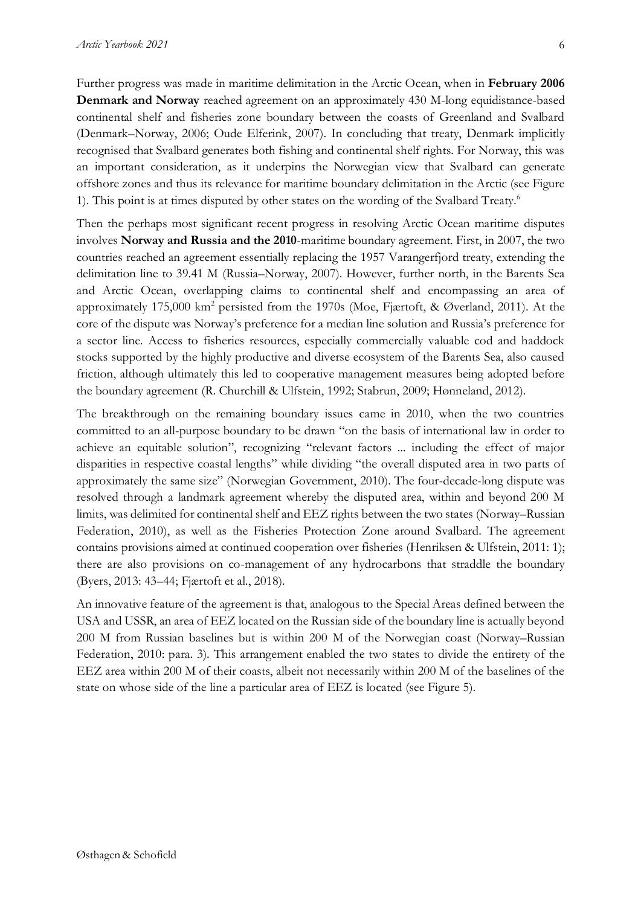Further progress was made in maritime delimitation in the Arctic Ocean, when in **February 2006 Denmark and Norway** reached agreement on an approximately 430 M-long equidistance-based continental shelf and fisheries zone boundary between the coasts of Greenland and Svalbard (Denmark–Norway, 2006; Oude Elferink, 2007). In concluding that treaty, Denmark implicitly recognised that Svalbard generates both fishing and continental shelf rights. For Norway, this was an important consideration, as it underpins the Norwegian view that Svalbard can generate offshore zones and thus its relevance for maritime boundary delimitation in the Arctic (see Figure 1). This point is at times disputed by other states on the wording of the Svalbard Treaty. 6

Then the perhaps most significant recent progress in resolving Arctic Ocean maritime disputes involves **Norway and Russia and the 2010**-maritime boundary agreement. First, in 2007, the two countries reached an agreement essentially replacing the 1957 Varangerfjord treaty, extending the delimitation line to 39.41 M (Russia–Norway, 2007). However, further north, in the Barents Sea and Arctic Ocean, overlapping claims to continental shelf and encompassing an area of approximately 175,000 km<sup>2</sup> persisted from the 1970s (Moe, Fjærtoft, & Øverland, 2011). At the core of the dispute was Norway's preference for a median line solution and Russia's preference for a sector line. Access to fisheries resources, especially commercially valuable cod and haddock stocks supported by the highly productive and diverse ecosystem of the Barents Sea, also caused friction, although ultimately this led to cooperative management measures being adopted before the boundary agreement (R. Churchill & Ulfstein, 1992; Stabrun, 2009; Hønneland, 2012).

The breakthrough on the remaining boundary issues came in 2010, when the two countries committed to an all-purpose boundary to be drawn "on the basis of international law in order to achieve an equitable solution", recognizing "relevant factors ... including the effect of major disparities in respective coastal lengths" while dividing "the overall disputed area in two parts of approximately the same size" (Norwegian Government, 2010). The four-decade-long dispute was resolved through a landmark agreement whereby the disputed area, within and beyond 200 M limits, was delimited for continental shelf and EEZ rights between the two states (Norway–Russian Federation, 2010), as well as the Fisheries Protection Zone around Svalbard. The agreement contains provisions aimed at continued cooperation over fisheries (Henriksen & Ulfstein, 2011: 1); there are also provisions on co-management of any hydrocarbons that straddle the boundary (Byers, 2013: 43–44; Fjærtoft et al., 2018).

An innovative feature of the agreement is that, analogous to the Special Areas defined between the USA and USSR, an area of EEZ located on the Russian side of the boundary line is actually beyond 200 M from Russian baselines but is within 200 M of the Norwegian coast (Norway–Russian Federation, 2010: para. 3). This arrangement enabled the two states to divide the entirety of the EEZ area within 200 M of their coasts, albeit not necessarily within 200 M of the baselines of the state on whose side of the line a particular area of EEZ is located (see Figure 5).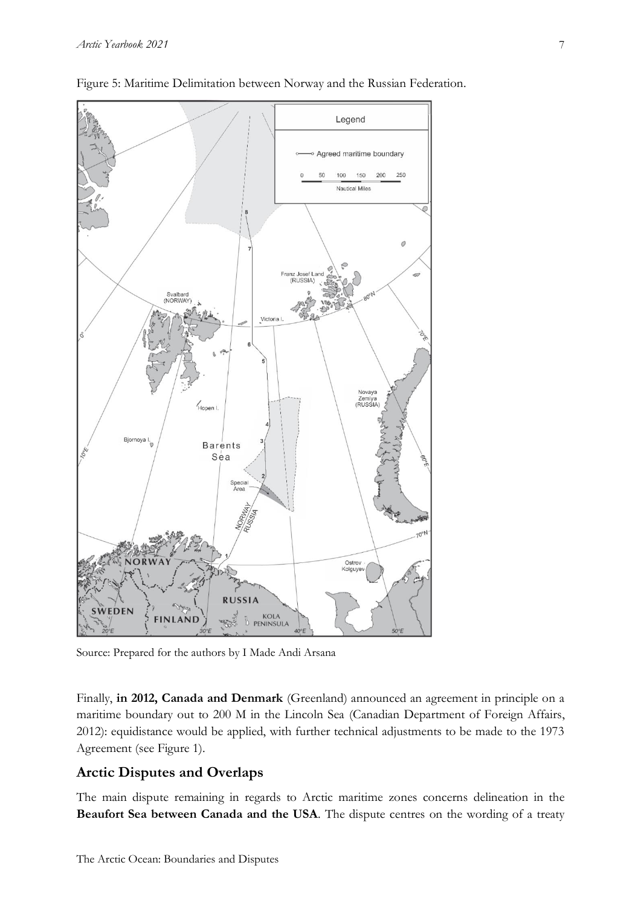



Source: Prepared for the authors by I Made Andi Arsana

Finally, **in 2012, Canada and Denmark** (Greenland) announced an agreement in principle on a maritime boundary out to 200 M in the Lincoln Sea (Canadian Department of Foreign Affairs, 2012): equidistance would be applied, with further technical adjustments to be made to the 1973 Agreement (see Figure 1).

### **Arctic Disputes and Overlaps**

The main dispute remaining in regards to Arctic maritime zones concerns delineation in the **Beaufort Sea between Canada and the USA**. The dispute centres on the wording of a treaty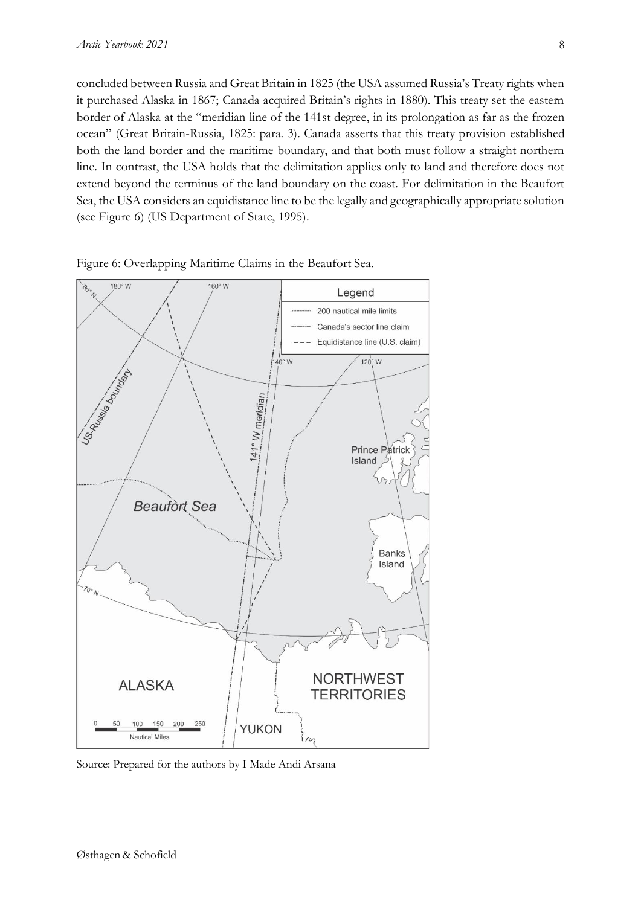concluded between Russia and Great Britain in 1825 (the USA assumed Russia's Treaty rights when it purchased Alaska in 1867; Canada acquired Britain's rights in 1880). This treaty set the eastern border of Alaska at the "meridian line of the 141st degree, in its prolongation as far as the frozen ocean" (Great Britain-Russia, 1825: para. 3). Canada asserts that this treaty provision established both the land border and the maritime boundary, and that both must follow a straight northern line. In contrast, the USA holds that the delimitation applies only to land and therefore does not extend beyond the terminus of the land boundary on the coast. For delimitation in the Beaufort Sea, the USA considers an equidistance line to be the legally and geographically appropriate solution (see Figure 6) (US Department of State, 1995).



Figure 6: Overlapping Maritime Claims in the Beaufort Sea.

Source: Prepared for the authors by I Made Andi Arsana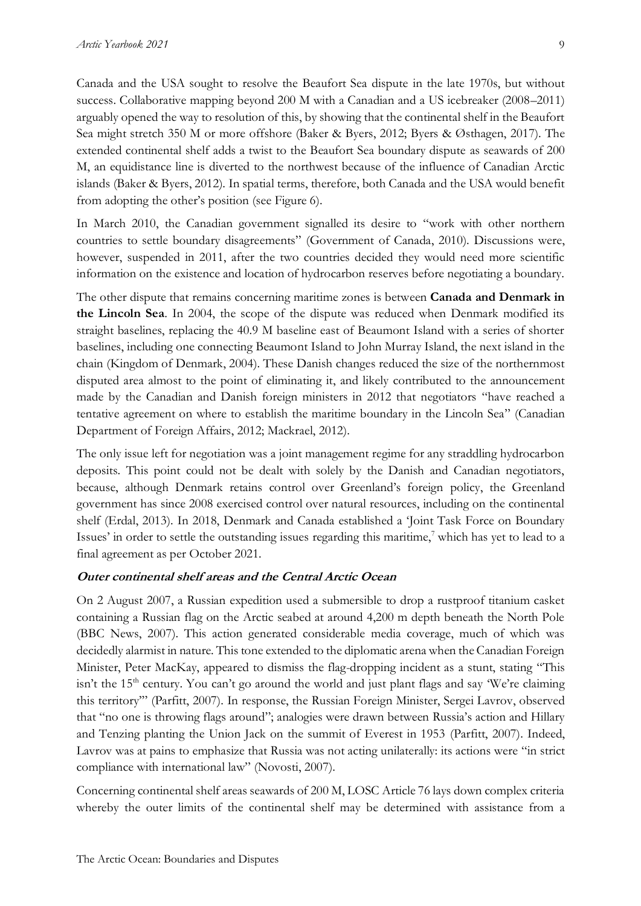from adopting the other's position (see Figure 6).

Canada and the USA sought to resolve the Beaufort Sea dispute in the late 1970s, but without success. Collaborative mapping beyond 200 M with a Canadian and a US icebreaker (2008–2011) arguably opened the way to resolution of this, by showing that the continental shelf in the Beaufort Sea might stretch 350 M or more offshore (Baker & Byers, 2012; Byers & Østhagen, 2017). The extended continental shelf adds a twist to the Beaufort Sea boundary dispute as seawards of 200 M, an equidistance line is diverted to the northwest because of the influence of Canadian Arctic

In March 2010, the Canadian government signalled its desire to "work with other northern countries to settle boundary disagreements" (Government of Canada, 2010). Discussions were, however, suspended in 2011, after the two countries decided they would need more scientific information on the existence and location of hydrocarbon reserves before negotiating a boundary.

islands (Baker & Byers, 2012). In spatial terms, therefore, both Canada and the USA would benefit

The other dispute that remains concerning maritime zones is between **Canada and Denmark in the Lincoln Sea**. In 2004, the scope of the dispute was reduced when Denmark modified its straight baselines, replacing the 40.9 M baseline east of Beaumont Island with a series of shorter baselines, including one connecting Beaumont Island to John Murray Island, the next island in the chain (Kingdom of Denmark, 2004). These Danish changes reduced the size of the northernmost disputed area almost to the point of eliminating it, and likely contributed to the announcement made by the Canadian and Danish foreign ministers in 2012 that negotiators "have reached a tentative agreement on where to establish the maritime boundary in the Lincoln Sea" (Canadian Department of Foreign Affairs, 2012; Mackrael, 2012).

The only issue left for negotiation was a joint management regime for any straddling hydrocarbon deposits. This point could not be dealt with solely by the Danish and Canadian negotiators, because, although Denmark retains control over Greenland's foreign policy, the Greenland government has since 2008 exercised control over natural resources, including on the continental shelf (Erdal, 2013). In 2018, Denmark and Canada established a 'Joint Task Force on Boundary Issues' in order to settle the outstanding issues regarding this maritime, <sup>7</sup> which has yet to lead to a final agreement as per October 2021.

#### **Outer continental shelf areas and the Central Arctic Ocean**

On 2 August 2007, a Russian expedition used a submersible to drop a rustproof titanium casket containing a Russian flag on the Arctic seabed at around 4,200 m depth beneath the North Pole (BBC News, 2007). This action generated considerable media coverage, much of which was decidedly alarmist in nature. This tone extended to the diplomatic arena when the Canadian Foreign Minister, Peter MacKay, appeared to dismiss the flag-dropping incident as a stunt, stating "This isn't the  $15<sup>th</sup>$  century. You can't go around the world and just plant flags and say 'We're claiming this territory'" (Parfitt, 2007). In response, the Russian Foreign Minister, Sergei Lavrov, observed that "no one is throwing flags around"; analogies were drawn between Russia's action and Hillary and Tenzing planting the Union Jack on the summit of Everest in 1953 (Parfitt, 2007). Indeed, Lavrov was at pains to emphasize that Russia was not acting unilaterally: its actions were "in strict compliance with international law" (Novosti, 2007).

Concerning continental shelf areas seawards of 200 M, LOSC Article 76 lays down complex criteria whereby the outer limits of the continental shelf may be determined with assistance from a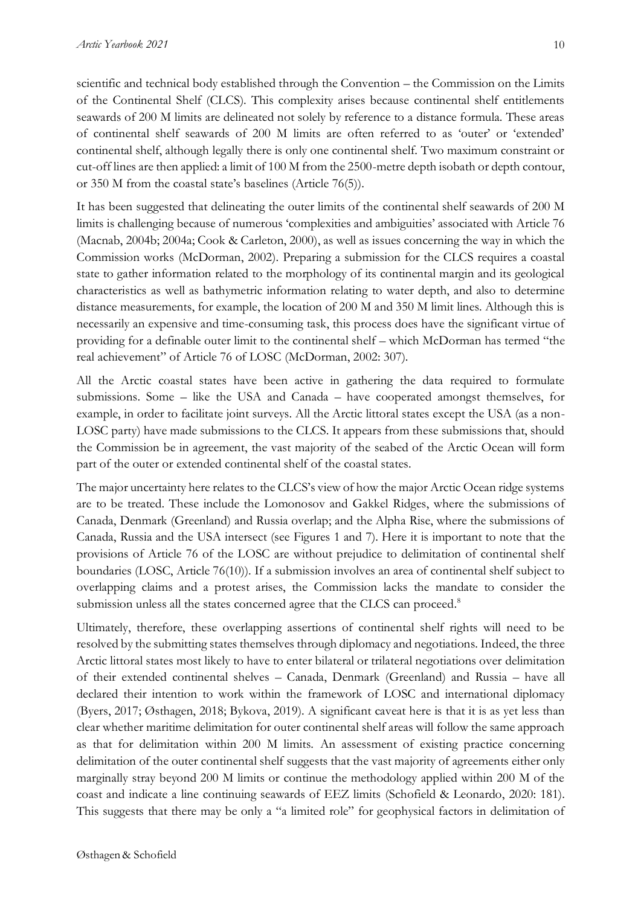scientific and technical body established through the Convention – the Commission on the Limits of the Continental Shelf (CLCS). This complexity arises because continental shelf entitlements seawards of 200 M limits are delineated not solely by reference to a distance formula. These areas of continental shelf seawards of 200 M limits are often referred to as 'outer' or 'extended' continental shelf, although legally there is only one continental shelf. Two maximum constraint or cut-off lines are then applied: a limit of 100 M from the 2500-metre depth isobath or depth contour, or 350 M from the coastal state's baselines (Article 76(5)).

It has been suggested that delineating the outer limits of the continental shelf seawards of 200 M limits is challenging because of numerous 'complexities and ambiguities' associated with Article 76 (Macnab, 2004b; 2004a; Cook & Carleton, 2000), as well as issues concerning the way in which the Commission works (McDorman, 2002). Preparing a submission for the CLCS requires a coastal state to gather information related to the morphology of its continental margin and its geological characteristics as well as bathymetric information relating to water depth, and also to determine distance measurements, for example, the location of 200 M and 350 M limit lines. Although this is necessarily an expensive and time-consuming task, this process does have the significant virtue of providing for a definable outer limit to the continental shelf – which McDorman has termed "the real achievement" of Article 76 of LOSC (McDorman, 2002: 307).

All the Arctic coastal states have been active in gathering the data required to formulate submissions. Some – like the USA and Canada – have cooperated amongst themselves, for example, in order to facilitate joint surveys. All the Arctic littoral states except the USA (as a non-LOSC party) have made submissions to the CLCS. It appears from these submissions that, should the Commission be in agreement, the vast majority of the seabed of the Arctic Ocean will form part of the outer or extended continental shelf of the coastal states.

The major uncertainty here relates to the CLCS's view of how the major Arctic Ocean ridge systems are to be treated. These include the Lomonosov and Gakkel Ridges, where the submissions of Canada, Denmark (Greenland) and Russia overlap; and the Alpha Rise, where the submissions of Canada, Russia and the USA intersect (see Figures 1 and 7). Here it is important to note that the provisions of Article 76 of the LOSC are without prejudice to delimitation of continental shelf boundaries (LOSC, Article 76(10)). If a submission involves an area of continental shelf subject to overlapping claims and a protest arises, the Commission lacks the mandate to consider the submission unless all the states concerned agree that the CLCS can proceed.<sup>8</sup>

Ultimately, therefore, these overlapping assertions of continental shelf rights will need to be resolved by the submitting states themselves through diplomacy and negotiations. Indeed, the three Arctic littoral states most likely to have to enter bilateral or trilateral negotiations over delimitation of their extended continental shelves – Canada, Denmark (Greenland) and Russia – have all declared their intention to work within the framework of LOSC and international diplomacy (Byers, 2017; Østhagen, 2018; Bykova, 2019). A significant caveat here is that it is as yet less than clear whether maritime delimitation for outer continental shelf areas will follow the same approach as that for delimitation within 200 M limits. An assessment of existing practice concerning delimitation of the outer continental shelf suggests that the vast majority of agreements either only marginally stray beyond 200 M limits or continue the methodology applied within 200 M of the coast and indicate a line continuing seawards of EEZ limits (Schofield & Leonardo, 2020: 181). This suggests that there may be only a "a limited role" for geophysical factors in delimitation of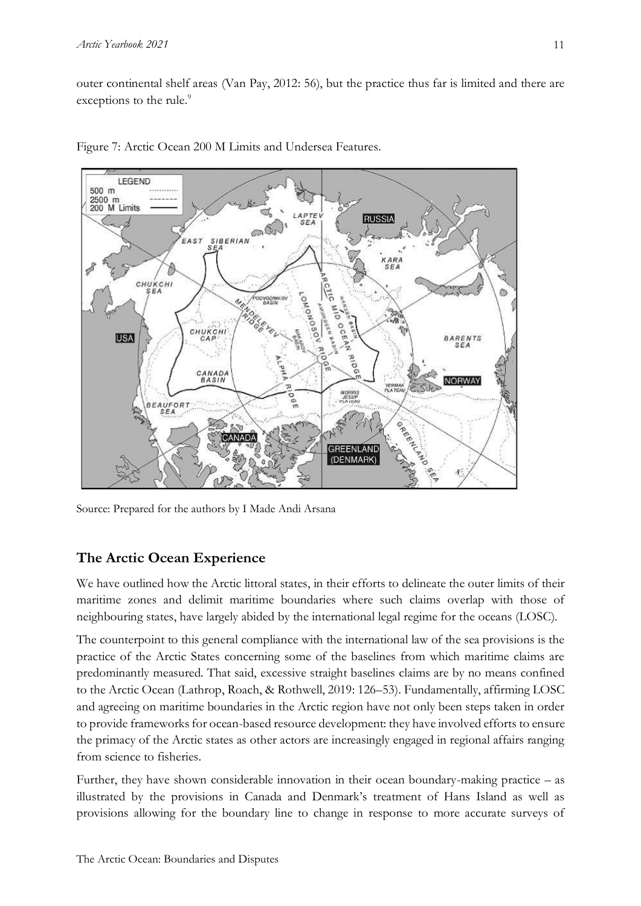outer continental shelf areas (Van Pay, 2012: 56), but the practice thus far is limited and there are exceptions to the rule.<sup>9</sup>



Figure 7: Arctic Ocean 200 M Limits and Undersea Features.

Source: Prepared for the authors by I Made Andi Arsana

# **The Arctic Ocean Experience**

We have outlined how the Arctic littoral states, in their efforts to delineate the outer limits of their maritime zones and delimit maritime boundaries where such claims overlap with those of neighbouring states, have largely abided by the international legal regime for the oceans (LOSC).

The counterpoint to this general compliance with the international law of the sea provisions is the practice of the Arctic States concerning some of the baselines from which maritime claims are predominantly measured. That said, excessive straight baselines claims are by no means confined to the Arctic Ocean (Lathrop, Roach, & Rothwell, 2019: 126–53). Fundamentally, affirming LOSC and agreeing on maritime boundaries in the Arctic region have not only been steps taken in order to provide frameworks for ocean-based resource development: they have involved efforts to ensure the primacy of the Arctic states as other actors are increasingly engaged in regional affairs ranging from science to fisheries.

Further, they have shown considerable innovation in their ocean boundary-making practice – as illustrated by the provisions in Canada and Denmark's treatment of Hans Island as well as provisions allowing for the boundary line to change in response to more accurate surveys of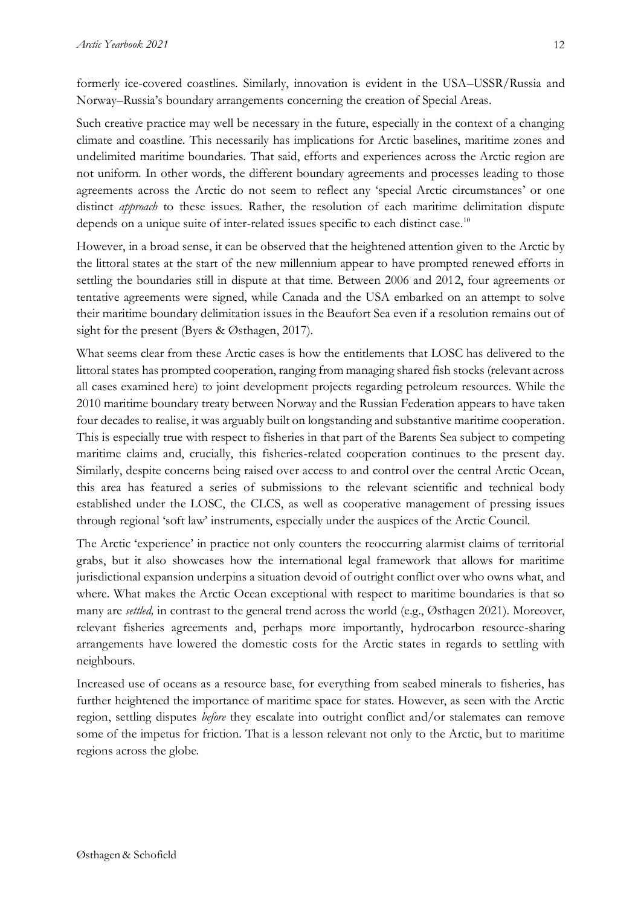formerly ice-covered coastlines. Similarly, innovation is evident in the USA–USSR/Russia and Norway–Russia's boundary arrangements concerning the creation of Special Areas.

Such creative practice may well be necessary in the future, especially in the context of a changing climate and coastline. This necessarily has implications for Arctic baselines, maritime zones and undelimited maritime boundaries. That said, efforts and experiences across the Arctic region are not uniform. In other words, the different boundary agreements and processes leading to those agreements across the Arctic do not seem to reflect any 'special Arctic circumstances' or one distinct *approach* to these issues. Rather, the resolution of each maritime delimitation dispute depends on a unique suite of inter-related issues specific to each distinct case.<sup>10</sup>

However, in a broad sense, it can be observed that the heightened attention given to the Arctic by the littoral states at the start of the new millennium appear to have prompted renewed efforts in settling the boundaries still in dispute at that time. Between 2006 and 2012, four agreements or tentative agreements were signed, while Canada and the USA embarked on an attempt to solve their maritime boundary delimitation issues in the Beaufort Sea even if a resolution remains out of sight for the present (Byers & Østhagen, 2017).

What seems clear from these Arctic cases is how the entitlements that LOSC has delivered to the littoral states has prompted cooperation, ranging from managing shared fish stocks (relevant across all cases examined here) to joint development projects regarding petroleum resources. While the 2010 maritime boundary treaty between Norway and the Russian Federation appears to have taken four decades to realise, it was arguably built on longstanding and substantive maritime cooperation. This is especially true with respect to fisheries in that part of the Barents Sea subject to competing maritime claims and, crucially, this fisheries-related cooperation continues to the present day. Similarly, despite concerns being raised over access to and control over the central Arctic Ocean, this area has featured a series of submissions to the relevant scientific and technical body established under the LOSC, the CLCS, as well as cooperative management of pressing issues through regional 'soft law' instruments, especially under the auspices of the Arctic Council.

The Arctic 'experience' in practice not only counters the reoccurring alarmist claims of territorial grabs, but it also showcases how the international legal framework that allows for maritime jurisdictional expansion underpins a situation devoid of outright conflict over who owns what, and where. What makes the Arctic Ocean exceptional with respect to maritime boundaries is that so many are *settled,* in contrast to the general trend across the world (e.g., Østhagen 2021). Moreover, relevant fisheries agreements and, perhaps more importantly, hydrocarbon resource-sharing arrangements have lowered the domestic costs for the Arctic states in regards to settling with neighbours.

Increased use of oceans as a resource base, for everything from seabed minerals to fisheries, has further heightened the importance of maritime space for states. However, as seen with the Arctic region, settling disputes *before* they escalate into outright conflict and/or stalemates can remove some of the impetus for friction. That is a lesson relevant not only to the Arctic, but to maritime regions across the globe.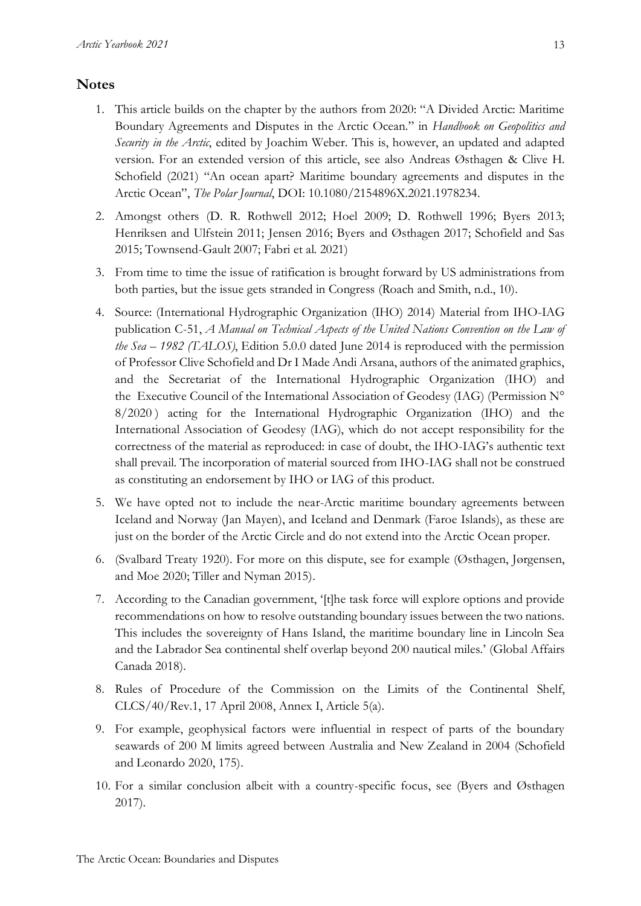#### **Notes**

- 1. This article builds on the chapter by the authors from 2020: "A Divided Arctic: Maritime Boundary Agreements and Disputes in the Arctic Ocean." in *Handbook on Geopolitics and Security in the Arctic*, edited by Joachim Weber. This is, however, an updated and adapted version. For an extended version of this article, see also Andreas Østhagen & Clive H. Schofield (2021) "An ocean apart? Maritime boundary agreements and disputes in the Arctic Ocean", *The Polar Journal*, DOI: 10.1080/2154896X.2021.1978234.
- 2. Amongst others (D. R. Rothwell 2012; Hoel 2009; D. Rothwell 1996; Byers 2013; Henriksen and Ulfstein 2011; Jensen 2016; Byers and Østhagen 2017; Schofield and Sas 2015; Townsend-Gault 2007; Fabri et al. 2021)
- 3. From time to time the issue of ratification is brought forward by US administrations from both parties, but the issue gets stranded in Congress (Roach and Smith, n.d., 10).
- 4. Source: (International Hydrographic Organization (IHO) 2014) Material from IHO-IAG publication C-51, *A Manual on Technical Aspects of the United Nations Convention on the Law of the Sea – 1982 (TALOS)*, Edition 5.0.0 dated June 2014 is reproduced with the permission of Professor Clive Schofield and Dr I Made Andi Arsana, authors of the animated graphics, and the Secretariat of the International Hydrographic Organization (IHO) and the Executive Council of the International Association of Geodesy (IAG) (Permission N° 8/2020 ) acting for the International Hydrographic Organization (IHO) and the International Association of Geodesy (IAG), which do not accept responsibility for the correctness of the material as reproduced: in case of doubt, the IHO-IAG's authentic text shall prevail. The incorporation of material sourced from IHO-IAG shall not be construed as constituting an endorsement by IHO or IAG of this product.
- 5. We have opted not to include the near-Arctic maritime boundary agreements between Iceland and Norway (Jan Mayen), and Iceland and Denmark (Faroe Islands), as these are just on the border of the Arctic Circle and do not extend into the Arctic Ocean proper.
- 6. (Svalbard Treaty 1920). For more on this dispute, see for example (Østhagen, Jørgensen, and Moe 2020; Tiller and Nyman 2015).
- 7. According to the Canadian government, '[t]he task force will explore options and provide recommendations on how to resolve outstanding boundary issues between the two nations. This includes the sovereignty of Hans Island, the maritime boundary line in Lincoln Sea and the Labrador Sea continental shelf overlap beyond 200 nautical miles.' (Global Affairs Canada 2018).
- 8. Rules of Procedure of the Commission on the Limits of the Continental Shelf, CLCS/40/Rev.1, 17 April 2008, Annex I, Article 5(a).
- 9. For example, geophysical factors were influential in respect of parts of the boundary seawards of 200 M limits agreed between Australia and New Zealand in 2004 (Schofield and Leonardo 2020, 175).
- 10. For a similar conclusion albeit with a country-specific focus, see (Byers and Østhagen 2017).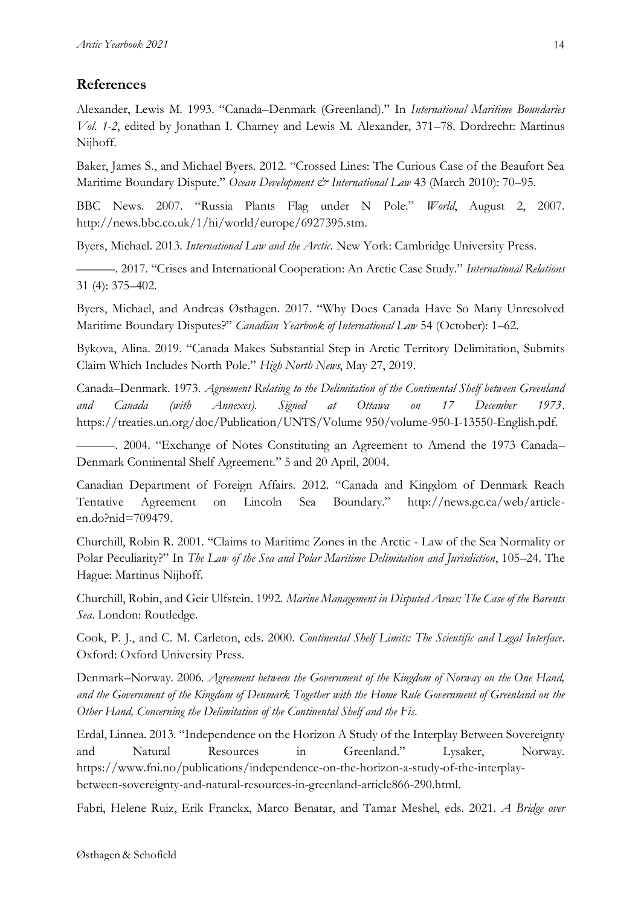# **References**

Alexander, Lewis M. 1993. "Canada–Denmark (Greenland)." In *International Maritime Boundaries Vol. 1-2*, edited by Jonathan I. Charney and Lewis M. Alexander, 371–78. Dordrecht: Martinus Nijhoff.

Baker, James S., and Michael Byers. 2012. "Crossed Lines: The Curious Case of the Beaufort Sea Maritime Boundary Dispute." *Ocean Development & International Law* 43 (March 2010): 70–95.

BBC News. 2007. "Russia Plants Flag under N Pole." *World*, August 2, 2007. http://news.bbc.co.uk/1/hi/world/europe/6927395.stm.

Byers, Michael. 2013. *International Law and the Arctic*. New York: Cambridge University Press.

———. 2017. "Crises and International Cooperation: An Arctic Case Study." *International Relations* 31 (4): 375–402.

Byers, Michael, and Andreas Østhagen. 2017. "Why Does Canada Have So Many Unresolved Maritime Boundary Disputes?" *Canadian Yearbook of International Law* 54 (October): 1–62.

Bykova, Alina. 2019. "Canada Makes Substantial Step in Arctic Territory Delimitation, Submits Claim Which Includes North Pole." *High North News*, May 27, 2019.

Canada–Denmark. 1973. *Agreement Relating to the Delimitation of the Continental Shelf between Greenland and Canada (with Annexes). Signed at Ottawa on 17 December 1973*. https://treaties.un.org/doc/Publication/UNTS/Volume 950/volume-950-I-13550-English.pdf.

———. 2004. "Exchange of Notes Constituting an Agreement to Amend the 1973 Canada– Denmark Continental Shelf Agreement." 5 and 20 April, 2004.

Canadian Department of Foreign Affairs. 2012. "Canada and Kingdom of Denmark Reach Tentative Agreement on Lincoln Sea Boundary." http://news.gc.ca/web/articleen.do?nid=709479.

Churchill, Robin R. 2001. "Claims to Maritime Zones in the Arctic - Law of the Sea Normality or Polar Peculiarity?" In *The Law of the Sea and Polar Maritime Delimitation and Jurisdiction*, 105–24. The Hague: Martinus Nijhoff.

Churchill, Robin, and Geir Ulfstein. 1992. *Marine Management in Disputed Areas: The Case of the Barents Sea*. London: Routledge.

Cook, P. J., and C. M. Carleton, eds. 2000. *Continental Shelf Limits: The Scientific and Legal Interface*. Oxford: Oxford University Press.

Denmark–Norway. 2006. *Agreement between the Government of the Kingdom of Norway on the One Hand, and the Government of the Kingdom of Denmark Together with the Home Rule Government of Greenland on the Other Hand, Concerning the Delimitation of the Continental Shelf and the Fis*.

Erdal, Linnea. 2013. "Independence on the Horizon A Study of the Interplay Between Sovereignty and Natural Resources in Greenland." Lysaker, Norway. https://www.fni.no/publications/independence-on-the-horizon-a-study-of-the-interplaybetween-sovereignty-and-natural-resources-in-greenland-article866-290.html.

Fabri, Helene Ruiz, Erik Franckx, Marco Benatar, and Tamar Meshel, eds. 2021. *A Bridge over*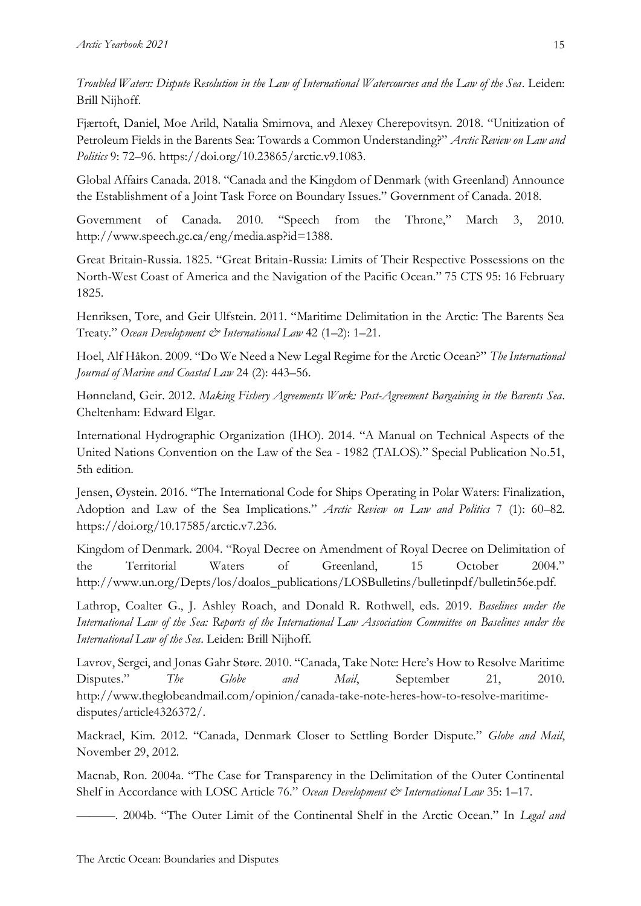*Troubled Waters: Dispute Resolution in the Law of International Watercourses and the Law of the Sea*. Leiden: Brill Nijhoff.

Fjærtoft, Daniel, Moe Arild, Natalia Smirnova, and Alexey Cherepovitsyn. 2018. "Unitization of Petroleum Fields in the Barents Sea: Towards a Common Understanding?" *Arctic Review on Law and Politics* 9: 72–96. https://doi.org/10.23865/arctic.v9.1083.

Global Affairs Canada. 2018. "Canada and the Kingdom of Denmark (with Greenland) Announce the Establishment of a Joint Task Force on Boundary Issues." Government of Canada. 2018.

Government of Canada. 2010. "Speech from the Throne," March 3, 2010. http://www.speech.gc.ca/eng/media.asp?id=1388.

Great Britain-Russia. 1825. "Great Britain-Russia: Limits of Their Respective Possessions on the North-West Coast of America and the Navigation of the Pacific Ocean." 75 CTS 95: 16 February 1825.

Henriksen, Tore, and Geir Ulfstein. 2011. "Maritime Delimitation in the Arctic: The Barents Sea Treaty." *Ocean Development & International Law* 42 (1–2): 1–21.

Hoel, Alf Håkon. 2009. "Do We Need a New Legal Regime for the Arctic Ocean?" *The International Journal of Marine and Coastal Law* 24 (2): 443–56.

Hønneland, Geir. 2012. *Making Fishery Agreements Work: Post-Agreement Bargaining in the Barents Sea*. Cheltenham: Edward Elgar.

International Hydrographic Organization (IHO). 2014. "A Manual on Technical Aspects of the United Nations Convention on the Law of the Sea - 1982 (TALOS)." Special Publication No.51, 5th edition.

Jensen, Øystein. 2016. "The International Code for Ships Operating in Polar Waters: Finalization, Adoption and Law of the Sea Implications." *Arctic Review on Law and Politics* 7 (1): 60–82. https://doi.org/10.17585/arctic.v7.236.

Kingdom of Denmark. 2004. "Royal Decree on Amendment of Royal Decree on Delimitation of the Territorial Waters of Greenland, 15 October 2004." http://www.un.org/Depts/los/doalos\_publications/LOSBulletins/bulletinpdf/bulletin56e.pdf.

Lathrop, Coalter G., J. Ashley Roach, and Donald R. Rothwell, eds. 2019. *Baselines under the International Law of the Sea: Reports of the International Law Association Committee on Baselines under the International Law of the Sea*. Leiden: Brill Nijhoff.

Lavrov, Sergei, and Jonas Gahr Støre. 2010. "Canada, Take Note: Here's How to Resolve Maritime Disputes." *The Globe and Mail*, September 21, 2010. http://www.theglobeandmail.com/opinion/canada-take-note-heres-how-to-resolve-maritimedisputes/article4326372/.

Mackrael, Kim. 2012. "Canada, Denmark Closer to Settling Border Dispute." *Globe and Mail*, November 29, 2012.

Macnab, Ron. 2004a. "The Case for Transparency in the Delimitation of the Outer Continental Shelf in Accordance with LOSC Article 76." Ocean Development & International Law 35: 1-17.

———. 2004b. "The Outer Limit of the Continental Shelf in the Arctic Ocean." In *Legal and*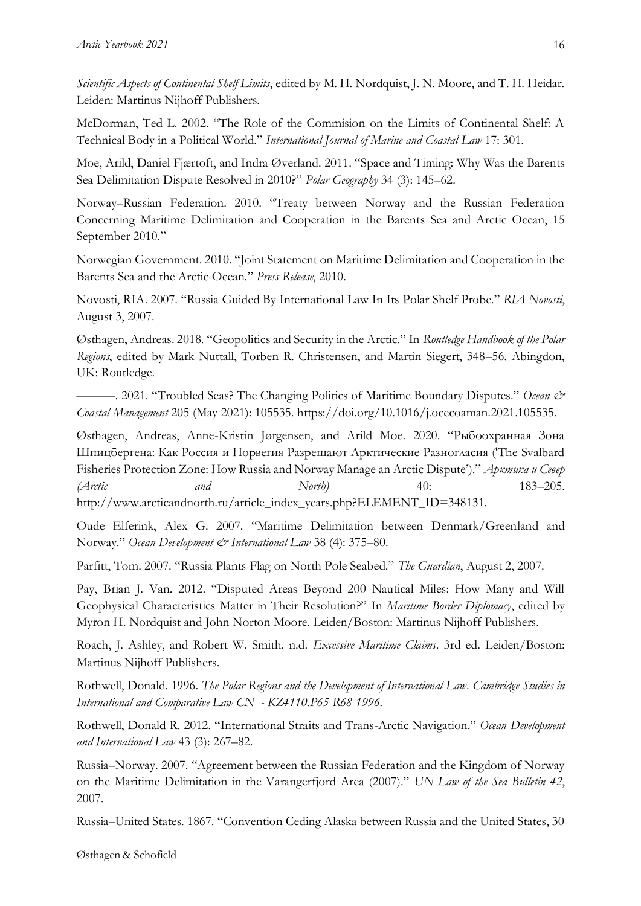*Scientific Aspects of Continental Shelf Limits*, edited by M. H. Nordquist, J. N. Moore, and T. H. Heidar. Leiden: Martinus Nijhoff Publishers.

McDorman, Ted L. 2002. "The Role of the Commision on the Limits of Continental Shelf: A Technical Body in a Political World." *International Journal of Marine and Coastal Law* 17: 301.

Moe, Arild, Daniel Fjærtoft, and Indra Øverland. 2011. "Space and Timing: Why Was the Barents Sea Delimitation Dispute Resolved in 2010?" *Polar Geography* 34 (3): 145–62.

Norway–Russian Federation. 2010. "Treaty between Norway and the Russian Federation Concerning Maritime Delimitation and Cooperation in the Barents Sea and Arctic Ocean, 15 September 2010."

Norwegian Government. 2010. "Joint Statement on Maritime Delimitation and Cooperation in the Barents Sea and the Arctic Ocean." *Press Release*, 2010.

Novosti, RIA. 2007. "Russia Guided By International Law In Its Polar Shelf Probe." *RIA Novosti*, August 3, 2007.

Østhagen, Andreas. 2018. "Geopolitics and Security in the Arctic." In *Routledge Handbook of the Polar Regions*, edited by Mark Nuttall, Torben R. Christensen, and Martin Siegert, 348–56. Abingdon, UK: Routledge.

———. 2021. "Troubled Seas? The Changing Politics of Maritime Boundary Disputes." *Ocean & Coastal Management* 205 (May 2021): 105535. https://doi.org/10.1016/j.ocecoaman.2021.105535.

Østhagen, Andreas, Anne-Kristin Jørgensen, and Arild Moe. 2020. "Рыбоохранная Зона Шпицбергена: Как Россия и Норвегия Разрешают Арктические Разногласия ('The Svalbard Fisheries Protection Zone: How Russia and Norway Manage an Arctic Dispute')." *Арктика и Север (Arctic and North)* 40: 183–205. http://www.arcticandnorth.ru/article\_index\_years.php?ELEMENT\_ID=348131.

Oude Elferink, Alex G. 2007. "Maritime Delimitation between Denmark/Greenland and Norway." *Ocean Development & International Law* 38 (4): 375–80.

Parfitt, Tom. 2007. "Russia Plants Flag on North Pole Seabed." *The Guardian*, August 2, 2007.

Pay, Brian J. Van. 2012. "Disputed Areas Beyond 200 Nautical Miles: How Many and Will Geophysical Characteristics Matter in Their Resolution?" In *Maritime Border Diplomacy*, edited by Myron H. Nordquist and John Norton Moore. Leiden/Boston: Martinus Nijhoff Publishers.

Roach, J. Ashley, and Robert W. Smith. n.d. *Excessive Maritime Claims*. 3rd ed. Leiden/Boston: Martinus Nijhoff Publishers.

Rothwell, Donald. 1996. *The Polar Regions and the Development of International Law*. *Cambridge Studies in International and Comparative Law CN - KZ4110.P65 R68 1996*.

Rothwell, Donald R. 2012. "International Straits and Trans-Arctic Navigation." *Ocean Development and International Law* 43 (3): 267–82.

Russia–Norway. 2007. "Agreement between the Russian Federation and the Kingdom of Norway on the Maritime Delimitation in the Varangerfjord Area (2007)." *UN Law of the Sea Bulletin 42*, 2007.

Russia–United States. 1867. "Convention Ceding Alaska between Russia and the United States, 30